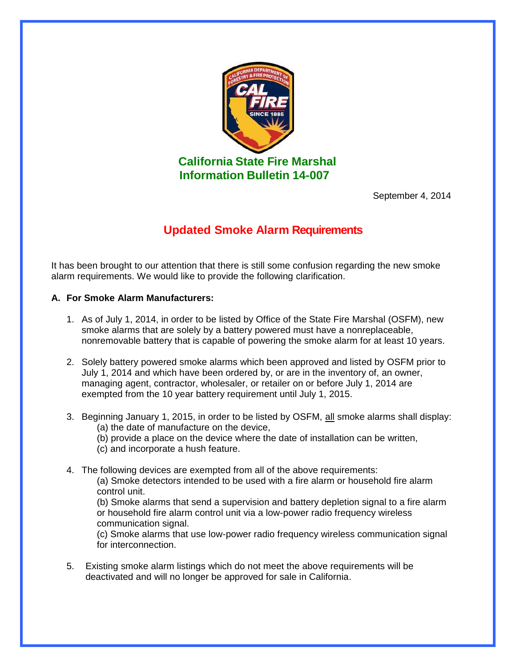

**California State Fire Marshal Information Bulletin 14-007**

September 4, 2014

## **Updated Smoke Alarm Requirements**

It has been brought to our attention that there is still some confusion regarding the new smoke alarm requirements. We would like to provide the following clarification.

## **A. For Smoke Alarm Manufacturers:**

- 1. As of July 1, 2014, in order to be listed by Office of the State Fire Marshal (OSFM), new smoke alarms that are solely by a battery powered must have a nonreplaceable, nonremovable battery that is capable of powering the smoke alarm for at least 10 years.
- 2. Solely battery powered smoke alarms which been approved and listed by OSFM prior to July 1, 2014 and which have been ordered by, or are in the inventory of, an owner, managing agent, contractor, wholesaler, or retailer on or before July 1, 2014 are exempted from the 10 year battery requirement until July 1, 2015.
- 3. Beginning January 1, 2015, in order to be listed by OSFM, all smoke alarms shall display: (a) the date of manufacture on the device,
	- (b) provide a place on the device where the date of installation can be written,
	- (c) and incorporate a hush feature.
- 4. The following devices are exempted from all of the above requirements:

(a) Smoke detectors intended to be used with a fire alarm or household fire alarm control unit.

(b) Smoke alarms that send a supervision and battery depletion signal to a fire alarm or household fire alarm control unit via a low-power radio frequency wireless communication signal.

(c) Smoke alarms that use low-power radio frequency wireless communication signal for interconnection.

5. Existing smoke alarm listings which do not meet the above requirements will be deactivated and will no longer be approved for sale in California.